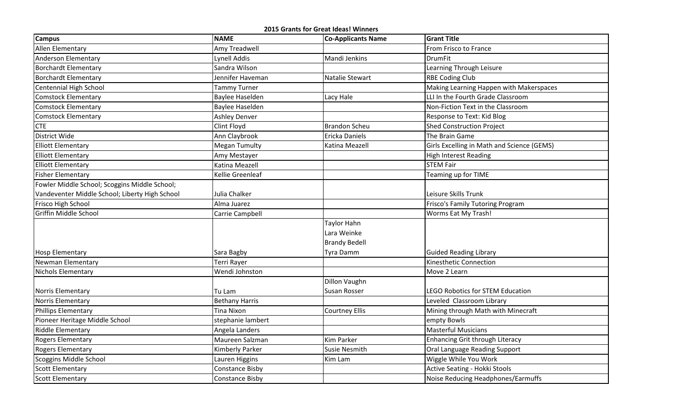**2015 Grants for Great Ideas! Winners**

| <b>Campus</b>                                  | <b>NAME</b>            | <b>Co-Applicants Name</b> | <b>Grant Title</b>                         |
|------------------------------------------------|------------------------|---------------------------|--------------------------------------------|
| Allen Elementary                               | Amy Treadwell          |                           | From Frisco to France                      |
| <b>Anderson Elementary</b>                     | <b>Lynell Addis</b>    | Mandi Jenkins             | <b>DrumFit</b>                             |
| <b>Borchardt Elementary</b>                    | Sandra Wilson          |                           | Learning Through Leisure                   |
| <b>Borchardt Elementary</b>                    | Jennifer Haveman       | Natalie Stewart           | <b>RBE Coding Club</b>                     |
| Centennial High School                         | Tammy Turner           |                           | Making Learning Happen with Makerspaces    |
| <b>Comstock Elementary</b>                     | <b>Baylee Haselden</b> | Lacy Hale                 | LLI In the Fourth Grade Classroom          |
| <b>Comstock Elementary</b>                     | <b>Baylee Haselden</b> |                           | Non-Fiction Text in the Classroom          |
| <b>Comstock Elementary</b>                     | <b>Ashley Denver</b>   |                           | Response to Text: Kid Blog                 |
| <b>CTE</b>                                     | Clint Floyd            | <b>Brandon Scheu</b>      | <b>Shed Construction Project</b>           |
| District Wide                                  | Ann Claybrook          | Ericka Daniels            | The Brain Game                             |
| <b>Elliott Elementary</b>                      | <b>Megan Tumulty</b>   | Katina Meazell            | Girls Excelling in Math and Science (GEMS) |
| <b>Elliott Elementary</b>                      | Amy Mestayer           |                           | <b>High Interest Reading</b>               |
| <b>Elliott Elementary</b>                      | Katina Meazell         |                           | <b>STEM Fair</b>                           |
| <b>Fisher Elementary</b>                       | Kellie Greenleaf       |                           | <b>Teaming up for TIME</b>                 |
| Fowler Middle School; Scoggins Middle School;  |                        |                           |                                            |
| Vandeventer Middle School; Liberty High School | Julia Chalker          |                           | Leisure Skills Trunk                       |
| Frisco High School                             | Alma Juarez            |                           | Frisco's Family Tutoring Program           |
| Griffin Middle School                          | Carrie Campbell        |                           | Worms Eat My Trash!                        |
|                                                |                        | Taylor Hahn               |                                            |
|                                                |                        | Lara Weinke               |                                            |
|                                                |                        | <b>Brandy Bedell</b>      |                                            |
| <b>Hosp Elementary</b>                         | Sara Bagby             | Tyra Damm                 | <b>Guided Reading Library</b>              |
| Newman Elementary                              | Terri Rayer            |                           | Kinesthetic Connection                     |
| Nichols Elementary                             | Wendi Johnston         |                           | Move 2 Learn                               |
|                                                |                        | <b>Dillon Vaughn</b>      |                                            |
| Norris Elementary                              | Tu Lam                 | Susan Rosser              | <b>LEGO Robotics for STEM Education</b>    |
| Norris Elementary                              | <b>Bethany Harris</b>  |                           | Leveled Classroom Library                  |
| <b>Phillips Elementary</b>                     | Tina Nixon             | Courtney Ellis            | Mining through Math with Minecraft         |
| Pioneer Heritage Middle School                 | stephanie lambert      |                           | empty Bowls                                |
| <b>Riddle Elementary</b>                       | Angela Landers         |                           | <b>Masterful Musicians</b>                 |
| <b>Rogers Elementary</b>                       | Maureen Salzman        | Kim Parker                | <b>Enhancing Grit through Literacy</b>     |
| <b>Rogers Elementary</b>                       | <b>Kimberly Parker</b> | Susie Nesmith             | Oral Language Reading Support              |
| Scoggins Middle School                         | Lauren Higgins         | Kim Lam                   | Wiggle While You Work                      |
| <b>Scott Elementary</b>                        | <b>Constance Bisby</b> |                           | <b>Active Seating - Hokki Stools</b>       |
| <b>Scott Elementary</b>                        | <b>Constance Bisby</b> |                           | Noise Reducing Headphones/Earmuffs         |